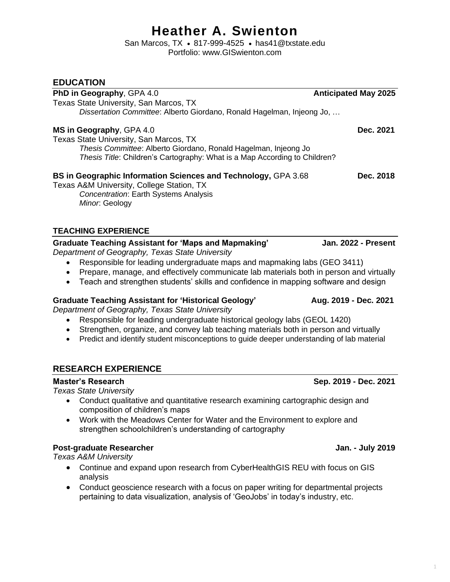# **Heather A. Swienton**

San Marcos, TX • 817-999-4525 • has41@txstate.edu Portfolio: www.GISwienton.com

### **EDUCATION**

| <b>EDUCATION</b>                                                                                                                                                                  |                             |
|-----------------------------------------------------------------------------------------------------------------------------------------------------------------------------------|-----------------------------|
| PhD in Geography, GPA 4.0                                                                                                                                                         | <b>Anticipated May 2025</b> |
| Texas State University, San Marcos, TX                                                                                                                                            |                             |
| Dissertation Committee: Alberto Giordano, Ronald Hagelman, Injeong Jo,                                                                                                            |                             |
| MS in Geography, GPA 4.0                                                                                                                                                          | Dec. 2021                   |
| Texas State University, San Marcos, TX                                                                                                                                            |                             |
| Thesis Committee: Alberto Giordano, Ronald Hagelman, Injeong Jo                                                                                                                   |                             |
| Thesis Title: Children's Cartography: What is a Map According to Children?                                                                                                        |                             |
| BS in Geographic Information Sciences and Technology, GPA 3.68                                                                                                                    | Dec. 2018                   |
| Texas A&M University, College Station, TX                                                                                                                                         |                             |
| <b>Concentration: Earth Systems Analysis</b>                                                                                                                                      |                             |
| Minor. Geology                                                                                                                                                                    |                             |
|                                                                                                                                                                                   |                             |
| <b>TEACHING EXPERIENCE</b>                                                                                                                                                        |                             |
| <b>Graduate Teaching Assistant for 'Maps and Mapmaking'</b><br>Department of Geography, Texas State University                                                                    | Jan. 2022 - Present         |
| Responsible for leading undergraduate maps and mapmaking labs (GEO 3411)                                                                                                          |                             |
| Prepare, manage, and effectively communicate lab materials both in person and virtually<br>٠                                                                                      |                             |
| Teach and strengthen students' skills and confidence in mapping software and design<br>$\bullet$                                                                                  |                             |
|                                                                                                                                                                                   |                             |
| <b>Graduate Teaching Assistant for 'Historical Geology'</b>                                                                                                                       | Aug. 2019 - Dec. 2021       |
| Department of Geography, Texas State University                                                                                                                                   |                             |
| Responsible for leading undergraduate historical geology labs (GEOL 1420)                                                                                                         |                             |
| Strengthen, organize, and convey lab teaching materials both in person and virtually<br>Predict and identify student misconceptions to guide deeper understanding of lab material |                             |
|                                                                                                                                                                                   |                             |
|                                                                                                                                                                                   |                             |
| <b>RESEARCH EXPERIENCE</b>                                                                                                                                                        |                             |
| <b>Master's Research</b><br><b>Texas State University</b>                                                                                                                         | Sep. 2019 - Dec. 2021       |
| Conduct qualitative and quantitative research examining cartographic design and                                                                                                   |                             |
| composition of children's maps                                                                                                                                                    |                             |
| Work with the Meadows Center for Water and the Environment to explore and                                                                                                         |                             |
| strengthen schoolchildren's understanding of cartography                                                                                                                          |                             |
| <b>Post-graduate Researcher</b>                                                                                                                                                   | Jan. - July 2019            |
| <b>Texas A&amp;M University</b>                                                                                                                                                   |                             |
| Continue and expand upon research from CyberHealthGIS REU with focus on GIS<br>$\bullet$                                                                                          |                             |
| analysis                                                                                                                                                                          |                             |
| Conduct geoscience research with a focus on paper writing for departmental projects<br>$\bullet$                                                                                  |                             |
| pertaining to data visualization, analysis of 'GeoJobs' in today's industry, etc.                                                                                                 |                             |
|                                                                                                                                                                                   |                             |
|                                                                                                                                                                                   |                             |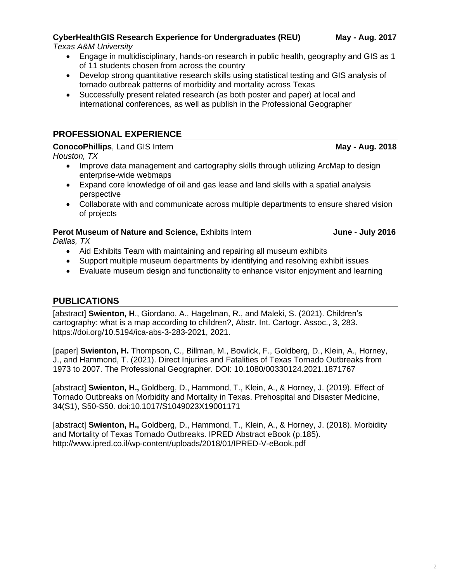#### **CyberHealthGIS Research Experience for Undergraduates (REU) May - Aug. 2017** *Texas A&M University*

- Engage in multidisciplinary, hands-on research in public health, geography and GIS as 1 of 11 students chosen from across the country
- Develop strong quantitative research skills using statistical testing and GIS analysis of tornado outbreak patterns of morbidity and mortality across Texas
- Successfully present related research (as both poster and paper) at local and international conferences, as well as publish in the Professional Geographer

#### **PROFESSIONAL EXPERIENCE**

**ConocoPhillips**, Land GIS Intern **May - May - Aug. 2018** 

*Houston, TX*

- Improve data management and cartography skills through utilizing ArcMap to design enterprise-wide webmaps
- Expand core knowledge of oil and gas lease and land skills with a spatial analysis perspective
- Collaborate with and communicate across multiple departments to ensure shared vision of projects

### **Perot Museum of Nature and Science, Exhibits Intern <b>July 2016 June - July 2016**

*Dallas, TX*

- Aid Exhibits Team with maintaining and repairing all museum exhibits
- Support multiple museum departments by identifying and resolving exhibit issues
- Evaluate museum design and functionality to enhance visitor enjoyment and learning

#### **PUBLICATIONS**

[abstract] **Swienton, H**., Giordano, A., Hagelman, R., and Maleki, S. (2021). Children's cartography: what is a map according to children?, Abstr. Int. Cartogr. Assoc., 3, 283. https://doi.org/10.5194/ica-abs-3-283-2021, 2021.

[paper] **Swienton, H.** Thompson, C., Billman, M., Bowlick, F., Goldberg, D., Klein, A., Horney, J., and Hammond, T. (2021). Direct Injuries and Fatalities of Texas Tornado Outbreaks from 1973 to 2007. The Professional Geographer. DOI: 10.1080/00330124.2021.1871767

[abstract] **Swienton, H.,** Goldberg, D., Hammond, T., Klein, A., & Horney, J. (2019). Effect of Tornado Outbreaks on Morbidity and Mortality in Texas. Prehospital and Disaster Medicine, 34(S1), S50-S50. doi:10.1017/S1049023X19001171

[abstract] **Swienton, H.,** Goldberg, D., Hammond, T., Klein, A., & Horney, J. (2018). Morbidity and Mortality of Texas Tornado Outbreaks. IPRED Abstract eBook (p.185). http://www.ipred.co.il/wp-content/uploads/2018/01/IPRED-V-eBook.pdf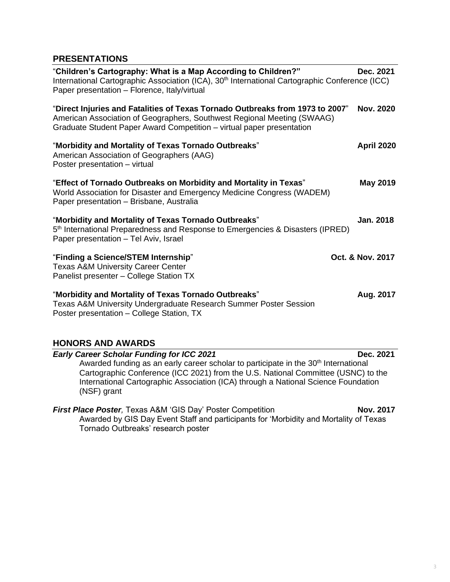#### **PRESENTATIONS**

| "Children's Cartography: What is a Map According to Children?"<br>International Cartographic Association (ICA), 30 <sup>th</sup> International Cartographic Conference (ICC)<br>Paper presentation - Florence, Italy/virtual                                                                                                                  | Dec. 2021         |
|-----------------------------------------------------------------------------------------------------------------------------------------------------------------------------------------------------------------------------------------------------------------------------------------------------------------------------------------------|-------------------|
| "Direct Injuries and Fatalities of Texas Tornado Outbreaks from 1973 to 2007"<br>American Association of Geographers, Southwest Regional Meeting (SWAAG)<br>Graduate Student Paper Award Competition - virtual paper presentation                                                                                                             | <b>Nov. 2020</b>  |
| "Morbidity and Mortality of Texas Tornado Outbreaks"<br>American Association of Geographers (AAG)<br>Poster presentation - virtual                                                                                                                                                                                                            | <b>April 2020</b> |
| "Effect of Tornado Outbreaks on Morbidity and Mortality in Texas"<br>World Association for Disaster and Emergency Medicine Congress (WADEM)<br>Paper presentation - Brisbane, Australia                                                                                                                                                       | May 2019          |
| "Morbidity and Mortality of Texas Tornado Outbreaks"<br>5 <sup>th</sup> International Preparedness and Response to Emergencies & Disasters (IPRED)<br>Paper presentation - Tel Aviv, Israel                                                                                                                                                   | <b>Jan. 2018</b>  |
| "Finding a Science/STEM Internship"<br><b>Texas A&amp;M University Career Center</b><br>Panelist presenter - College Station TX                                                                                                                                                                                                               | Oct. & Nov. 2017  |
| "Morbidity and Mortality of Texas Tornado Outbreaks"<br>Texas A&M University Undergraduate Research Summer Poster Session<br>Poster presentation - College Station, TX                                                                                                                                                                        | Aug. 2017         |
| <b>HONORS AND AWARDS</b>                                                                                                                                                                                                                                                                                                                      |                   |
| <b>Early Career Scholar Funding for ICC 2021</b><br>Awarded funding as an early career scholar to participate in the 30 <sup>th</sup> International<br>Cartographic Conference (ICC 2021) from the U.S. National Committee (USNC) to the<br>International Cartographic Association (ICA) through a National Science Foundation<br>(NSF) grant | Dec. 2021         |

**First Place Poster**, Texas A&M 'GIS Day' Poster Competition **Nov. 2017** Awarded by GIS Day Event Staff and participants for 'Morbidity and Mortality of Texas Tornado Outbreaks' research poster